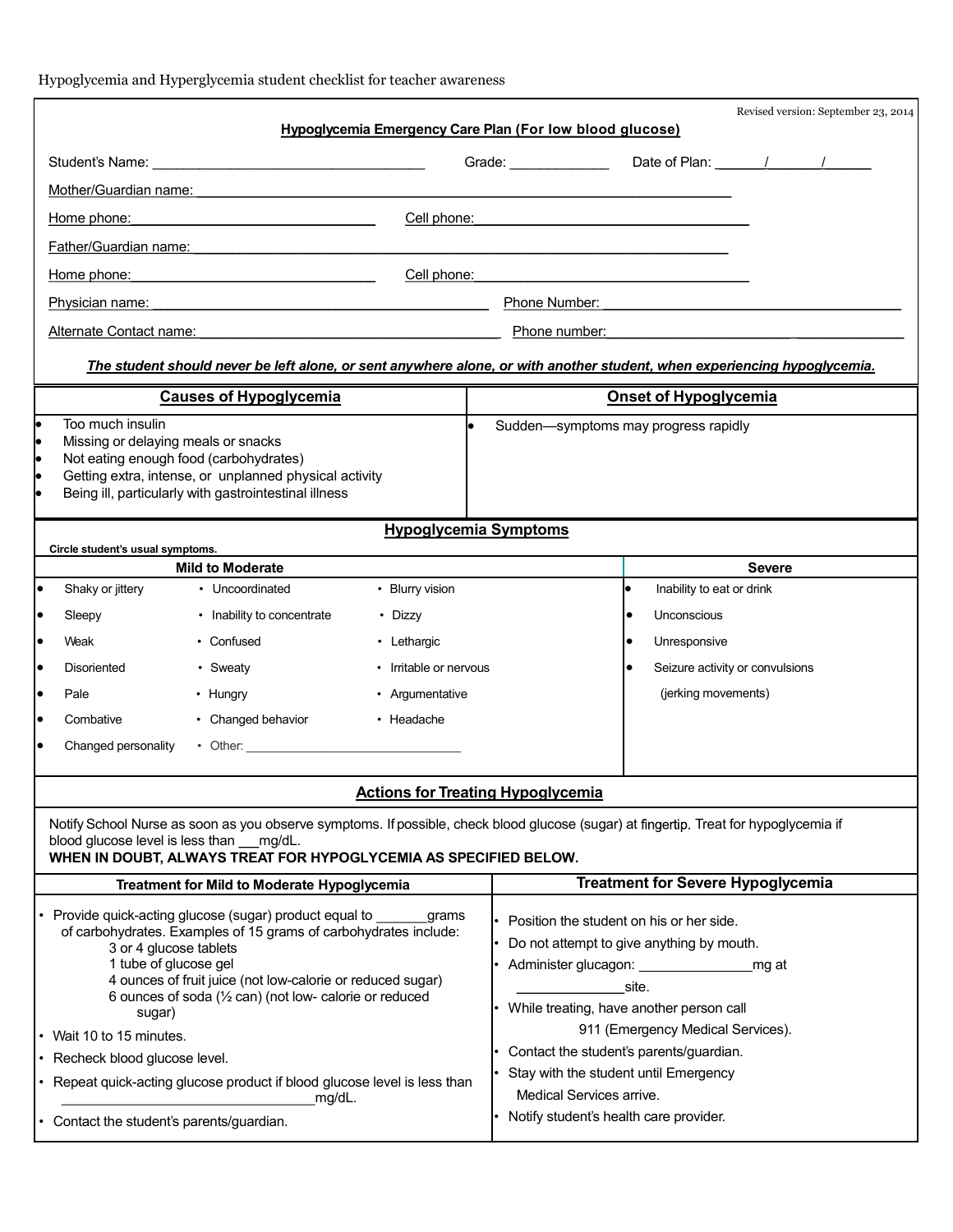| Hypoglycemia and Hyperglycemia student checklist for teacher awareness |
|------------------------------------------------------------------------|
|------------------------------------------------------------------------|

|                                                                                                                                                                                                                                                                                                                                                                                              |                                                                                                                          |                              | Hypoglycemia Emergency Care Plan (For low blood glucose)                                                                                                                                                                                                                    |                                          |               | Revised version: September 23, 2014 |  |  |
|----------------------------------------------------------------------------------------------------------------------------------------------------------------------------------------------------------------------------------------------------------------------------------------------------------------------------------------------------------------------------------------------|--------------------------------------------------------------------------------------------------------------------------|------------------------------|-----------------------------------------------------------------------------------------------------------------------------------------------------------------------------------------------------------------------------------------------------------------------------|------------------------------------------|---------------|-------------------------------------|--|--|
|                                                                                                                                                                                                                                                                                                                                                                                              |                                                                                                                          |                              | Grade: Date of Plan: / / /                                                                                                                                                                                                                                                  |                                          |               |                                     |  |  |
| Mother/Guardian name:                                                                                                                                                                                                                                                                                                                                                                        |                                                                                                                          |                              |                                                                                                                                                                                                                                                                             |                                          |               |                                     |  |  |
| Home phone: the contract of the contract of the contract of the contract of the contract of the contract of the contract of the contract of the contract of the contract of the contract of the contract of the contract of th                                                                                                                                                               |                                                                                                                          |                              | Cell phone: experience and the state of the state of the state of the state of the state of the state of the state of the state of the state of the state of the state of the state of the state of the state of the state of                                               |                                          |               |                                     |  |  |
| Father/Guardian name:                                                                                                                                                                                                                                                                                                                                                                        |                                                                                                                          |                              |                                                                                                                                                                                                                                                                             |                                          |               |                                     |  |  |
| Home phone: New York Contract to the Manual Contract of the Manual Contract of the Manual Contract of the Manual Contract of the Manual Contract of the Manual Contract of the Manual Contract of the Manual Contract of the M                                                                                                                                                               | Cell phone:                                                                                                              |                              |                                                                                                                                                                                                                                                                             |                                          |               |                                     |  |  |
| Physician name:                                                                                                                                                                                                                                                                                                                                                                              |                                                                                                                          |                              | Phone Number: The Contract of the Contract of the Contract of the Contract of the Contract of the Contract of the Contract of the Contract of the Contract of the Contract of the Contract of the Contract of the Contract of                                               |                                          |               |                                     |  |  |
| Alternate Contact name: <b>Alternative Contact and Alternative Contact name:</b><br>Phone number: and the state of the state of the state of the state of the state of the state of the state of the state of the state of the state of the state of the state of the state of the state of the state of the state                                                                           |                                                                                                                          |                              |                                                                                                                                                                                                                                                                             |                                          |               |                                     |  |  |
|                                                                                                                                                                                                                                                                                                                                                                                              | The student should never be left alone, or sent anywhere alone, or with another student, when experiencing hypoglycemia. |                              |                                                                                                                                                                                                                                                                             |                                          |               |                                     |  |  |
|                                                                                                                                                                                                                                                                                                                                                                                              | <b>Causes of Hypoglycemia</b>                                                                                            |                              |                                                                                                                                                                                                                                                                             | <b>Onset of Hypoglycemia</b>             |               |                                     |  |  |
| Too much insulin<br>l.<br>Missing or delaying meals or snacks<br>Not eating enough food (carbohydrates)<br>Getting extra, intense, or unplanned physical activity<br>Being ill, particularly with gastrointestinal illness                                                                                                                                                                   |                                                                                                                          |                              | Sudden-symptoms may progress rapidly                                                                                                                                                                                                                                        |                                          |               |                                     |  |  |
|                                                                                                                                                                                                                                                                                                                                                                                              |                                                                                                                          | <b>Hypoglycemia Symptoms</b> |                                                                                                                                                                                                                                                                             |                                          |               |                                     |  |  |
| Circle student's usual symptoms.                                                                                                                                                                                                                                                                                                                                                             | <b>Mild to Moderate</b>                                                                                                  |                              |                                                                                                                                                                                                                                                                             |                                          | <b>Severe</b> |                                     |  |  |
| Shaky or jittery                                                                                                                                                                                                                                                                                                                                                                             | • Uncoordinated                                                                                                          | • Blurry vision              |                                                                                                                                                                                                                                                                             | Inability to eat or drink                |               |                                     |  |  |
| Sleepy                                                                                                                                                                                                                                                                                                                                                                                       | • Inability to concentrate                                                                                               | • Dizzy                      |                                                                                                                                                                                                                                                                             | Unconscious                              |               |                                     |  |  |
| Weak                                                                                                                                                                                                                                                                                                                                                                                         | • Confused                                                                                                               | • Lethargic                  |                                                                                                                                                                                                                                                                             | Unresponsive                             |               |                                     |  |  |
| <b>Disoriented</b><br>• Sweaty<br>• Irritable or nervous                                                                                                                                                                                                                                                                                                                                     |                                                                                                                          |                              | Seizure activity or convulsions                                                                                                                                                                                                                                             |                                          |               |                                     |  |  |
| Pale<br>• Hungry<br>$\bullet$                                                                                                                                                                                                                                                                                                                                                                |                                                                                                                          | • Argumentative              |                                                                                                                                                                                                                                                                             | (jerking movements)                      |               |                                     |  |  |
| Combative                                                                                                                                                                                                                                                                                                                                                                                    | • Changed behavior                                                                                                       | • Headache                   |                                                                                                                                                                                                                                                                             |                                          |               |                                     |  |  |
| Changed personality                                                                                                                                                                                                                                                                                                                                                                          |                                                                                                                          |                              |                                                                                                                                                                                                                                                                             |                                          |               |                                     |  |  |
| <b>Actions for Treating Hypoglycemia</b>                                                                                                                                                                                                                                                                                                                                                     |                                                                                                                          |                              |                                                                                                                                                                                                                                                                             |                                          |               |                                     |  |  |
| Notify School Nurse as soon as you observe symptoms. If possible, check blood glucose (sugar) at fingertip. Treat for hypoglycemia if<br>blood glucose level is less than mg/dL.<br>WHEN IN DOUBT, ALWAYS TREAT FOR HYPOGLYCEMIA AS SPECIFIED BELOW.                                                                                                                                         |                                                                                                                          |                              |                                                                                                                                                                                                                                                                             |                                          |               |                                     |  |  |
| Treatment for Mild to Moderate Hypoglycemia                                                                                                                                                                                                                                                                                                                                                  |                                                                                                                          |                              |                                                                                                                                                                                                                                                                             | <b>Treatment for Severe Hypoglycemia</b> |               |                                     |  |  |
| Provide quick-acting glucose (sugar) product equal to<br>grams<br>of carbohydrates. Examples of 15 grams of carbohydrates include:<br>3 or 4 glucose tablets<br>1 tube of glucose gel<br>4 ounces of fruit juice (not low-calorie or reduced sugar)<br>6 ounces of soda $(\frac{1}{2}$ can) (not low- calorie or reduced<br>sugar)<br>Wait 10 to 15 minutes.<br>Recheck blood glucose level. |                                                                                                                          |                              | Position the student on his or her side.<br>Do not attempt to give anything by mouth.<br>Administer glucagon: _______________<br>mg at<br>site.<br>While treating, have another person call<br>911 (Emergency Medical Services).<br>Contact the student's parents/guardian. |                                          |               |                                     |  |  |
| Repeat quick-acting glucose product if blood glucose level is less than                                                                                                                                                                                                                                                                                                                      |                                                                                                                          |                              | Stay with the student until Emergency<br>Medical Services arrive.                                                                                                                                                                                                           |                                          |               |                                     |  |  |
| mg/dL.<br>Contact the student's parents/guardian.                                                                                                                                                                                                                                                                                                                                            |                                                                                                                          |                              | Notify student's health care provider.                                                                                                                                                                                                                                      |                                          |               |                                     |  |  |